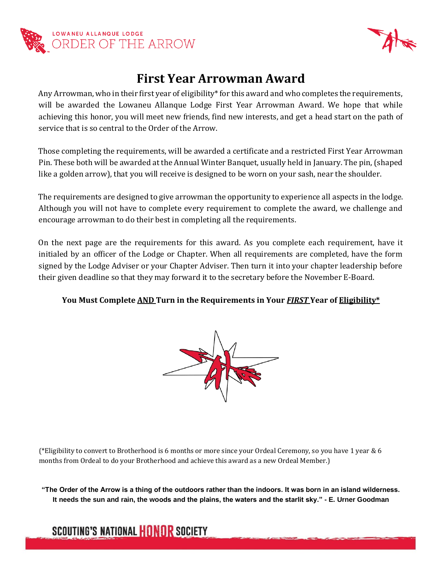



## **First Year Arrowman Award**

Any Arrowman, who in their first year of eligibility\* for this award and who completes the requirements, will be awarded the Lowaneu Allanque Lodge First Year Arrowman Award. We hope that while achieving this honor, you will meet new friends, find new interests, and get a head start on the path of service that is so central to the Order of the Arrow.

Those completing the requirements, will be awarded a certificate and a restricted First Year Arrowman Pin. These both will be awarded at the Annual Winter Banquet, usually held in January. The pin, (shaped like a golden arrow), that you will receive is designed to be worn on your sash, near the shoulder.

The requirements are designed to give arrowman the opportunity to experience all aspects in the lodge. Although you will not have to complete every requirement to complete the award, we challenge and encourage arrowman to do their best in completing all the requirements.

On the next page are the requirements for this award. As you complete each requirement, have it initialed by an officer of the Lodge or Chapter. When all requirements are completed, have the form signed by the Lodge Adviser or your Chapter Adviser. Then turn it into your chapter leadership before their given deadline so that they may forward it to the secretary before the November E-Board.

## **You Must Complete AND Turn in the Requirements in Your** *FIRST* **Year of Eligibility\***



(\*Eligibility to convert to Brotherhood is 6 months or more since your Ordeal Ceremony, so you have 1 year & 6 months from Ordeal to do your Brotherhood and achieve this award as a new Ordeal Member.)

**"The Order of the Arrow is a thing of the outdoors rather than the indoors. It was born in an island wilderness. It needs the sun and rain, the woods and the plains, the waters and the starlit sky." - E. Urner Goodman**

## **SCOUTING'S NATIONAL HONOR SOCIETY**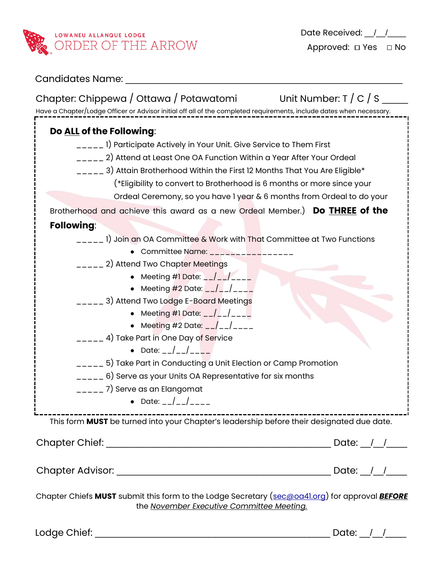

| <b>Candidates Name:</b>                                                                                                                                                                                                                                                                                                                                                                                                                                                                                                                                                                                                                                                                                                                                                                                                                                                                                                                                                                                               |
|-----------------------------------------------------------------------------------------------------------------------------------------------------------------------------------------------------------------------------------------------------------------------------------------------------------------------------------------------------------------------------------------------------------------------------------------------------------------------------------------------------------------------------------------------------------------------------------------------------------------------------------------------------------------------------------------------------------------------------------------------------------------------------------------------------------------------------------------------------------------------------------------------------------------------------------------------------------------------------------------------------------------------|
| Chapter: Chippewa / Ottawa / Potawatomi Unit Number: T / C / S $\frac{1}{2}$<br>Have a Chapter/Lodge Officer or Advisor initial off all of the completed requirements, include dates when necessary.                                                                                                                                                                                                                                                                                                                                                                                                                                                                                                                                                                                                                                                                                                                                                                                                                  |
| Do ALL of the Following:<br>_____ 1) Participate Actively in Your Unit. Give Service to Them First<br>_____ 2) Attend at Least One OA Function Within a Year After Your Ordeal<br>$_{\rm{---}}$ 3) Attain Brotherhood Within the First 12 Months That You Are Eligible*<br>(*Eligibility to convert to Brotherhood is 6 months or more since your<br>Ordeal Ceremony, so you have I year & 6 months from Ordeal to do your<br>Brotherhood and achieve this award as a new Ordeal Member.) Do THREE of the                                                                                                                                                                                                                                                                                                                                                                                                                                                                                                             |
| <b>Following:</b><br>_____ 1) Join an OA Committee & Work with That Committee at Two Functions<br>• Committee Name: ______________<br>_____ 2) Attend Two Chapter Meetings<br>• Meeting #1 Date: $-/-/-$<br>• Meeting #2 Date: $_{--}/_{--}/_{---}$<br>____ 3) Attend Two Lodge E-Board Meetings<br>• Meeting #1 Date: $_{--}/_{--}/_{---}$<br>• Meeting #2 Date: $_{--}/_{--}/_{---}$<br>_____ 4) Take Part in One Day of Service<br>• Date: $\frac{1}{2}$ $\frac{1}{2}$ $\frac{1}{2}$ $\frac{1}{2}$ $\frac{1}{2}$ $\frac{1}{2}$ $\frac{1}{2}$ $\frac{1}{2}$ $\frac{1}{2}$ $\frac{1}{2}$ $\frac{1}{2}$ $\frac{1}{2}$ $\frac{1}{2}$ $\frac{1}{2}$ $\frac{1}{2}$ $\frac{1}{2}$ $\frac{1}{2}$ $\frac{1}{2}$ $\frac{1}{2}$ $\frac{1}{2}$ $\frac{1}{2}$ $\frac$<br>$\sqrt{2}$ = $\sqrt{5}$ Take Part in Conducting a Unit Election or Camp Promotion<br>$\sqrt{2}$ = $\sqrt{2}$ 6) Serve as your Units OA Representative for six months<br>$\sqrt{2}$ = $\sqrt{2}$ 7) Serve as an Elangomat<br>• Date: $_{-}/_{-}/_{---}$ |
| This form MUST be turned into your Chapter's leadership before their designated due date.<br>Date: $/$ /                                                                                                                                                                                                                                                                                                                                                                                                                                                                                                                                                                                                                                                                                                                                                                                                                                                                                                              |

Chapter Advisor: \_\_\_\_\_\_\_\_\_\_\_\_\_\_\_\_\_\_\_\_\_\_\_\_\_\_\_\_\_\_\_\_\_\_\_\_\_\_\_\_\_ Date: \_\_/\_\_/\_\_\_\_

Chapter Chiefs **MUST** submit this form to the Lodge Secretary (sec@oa41.org) for approval *BEFORE* the *November Executive Committee Meeting.*